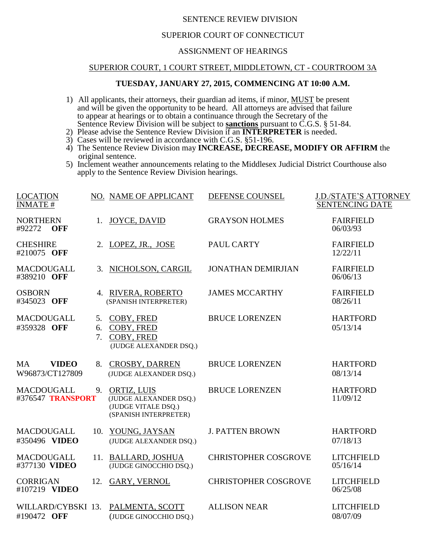## SENTENCE REVIEW DIVISION

# SUPERIOR COURT OF CONNECTICUT

## ASSIGNMENT OF HEARINGS

#### SUPERIOR COURT, 1 COURT STREET, MIDDLETOWN, CT - COURTROOM 3A

### **TUESDAY, JANUARY 27, 2015, COMMENCING AT 10:00 A.M.**

- 1) All applicants, their attorneys, their guardian ad items, if minor, MUST be present and will be given the opportunity to be heard. All attorneys are advised that failure to appear at hearings or to obtain a continuance through the Secretary of the Sentence Review Division will be subject to **sanctions** pursuant to C.G.S. § 51-84.
- 2) Please advise the Sentence Review Division if an **INTERPRETER** is needed.
- 3) Cases will be reviewed in accordance with C.G.S. §51-196.
- 4) The Sentence Review Division may **INCREASE, DECREASE, MODIFY OR AFFIRM** the original sentence.
- 5) Inclement weather announcements relating to the Middlesex Judicial District Courthouse also apply to the Sentence Review Division hearings.

| LOCATION<br><b>INMATE#</b>              |          | NO. NAME OF APPLICANT                                                                    | DEFENSE COUNSEL             | <b>J.D./STATE'S ATTORNEY</b><br><b>SENTENCING DATE</b> |
|-----------------------------------------|----------|------------------------------------------------------------------------------------------|-----------------------------|--------------------------------------------------------|
| <b>NORTHERN</b><br>#92272<br><b>OFF</b> | 1.       | <b>JOYCE, DAVID</b>                                                                      | <b>GRAYSON HOLMES</b>       | <b>FAIRFIELD</b><br>06/03/93                           |
| <b>CHESHIRE</b><br>#210075 OFF          |          | 2. LOPEZ, JR., JOSE                                                                      | PAUL CARTY                  | <b>FAIRFIELD</b><br>12/22/11                           |
| MACDOUGALL<br>#389210 OFF               |          | 3. NICHOLSON, CARGIL                                                                     | <b>JONATHAN DEMIRJIAN</b>   | <b>FAIRFIELD</b><br>06/06/13                           |
| <b>OSBORN</b><br>#345023 OFF            |          | 4. RIVERA, ROBERTO<br>(SPANISH INTERPRETER)                                              | <b>JAMES MCCARTHY</b>       | <b>FAIRFIELD</b><br>08/26/11                           |
| MACDOUGALL<br>#359328 OFF               | 6.<br>7. | 5. COBY, FRED<br>COBY, FRED<br>COBY, FRED<br>(JUDGE ALEXANDER DSQ.)                      | <b>BRUCE LORENZEN</b>       | <b>HARTFORD</b><br>05/13/14                            |
| MA<br><b>VIDEO</b><br>W96873/CT127809   |          | 8. CROSBY, DARREN<br>(JUDGE ALEXANDER DSQ.)                                              | <b>BRUCE LORENZEN</b>       | <b>HARTFORD</b><br>08/13/14                            |
| MACDOUGALL<br>#376547 TRANSPORT         |          | 9. ORTIZ, LUIS<br>(JUDGE ALEXANDER DSQ.)<br>(JUDGE VITALE DSQ.)<br>(SPANISH INTERPRETER) | <b>BRUCE LORENZEN</b>       | <b>HARTFORD</b><br>11/09/12                            |
| MACDOUGALL<br>#350496 VIDEO             |          | 10. YOUNG, JAYSAN<br>(JUDGE ALEXANDER DSQ.)                                              | <b>J. PATTEN BROWN</b>      | <b>HARTFORD</b><br>07/18/13                            |
| MACDOUGALL<br>#377130 VIDEO             |          | 11. BALLARD, JOSHUA<br>(JUDGE GINOCCHIO DSQ.)                                            | <b>CHRISTOPHER COSGROVE</b> | <b>LITCHFIELD</b><br>05/16/14                          |
| <b>CORRIGAN</b><br>#107219 VIDEO        | 12.      | <b>GARY, VERNOL</b>                                                                      | <b>CHRISTOPHER COSGROVE</b> | <b>LITCHFIELD</b><br>06/25/08                          |
| WILLARD/CYBSKI 13.<br>#190472 OFF       |          | PALMENTA, SCOTT<br>(JUDGE GINOCCHIO DSQ.)                                                | <b>ALLISON NEAR</b>         | <b>LITCHFIELD</b><br>08/07/09                          |